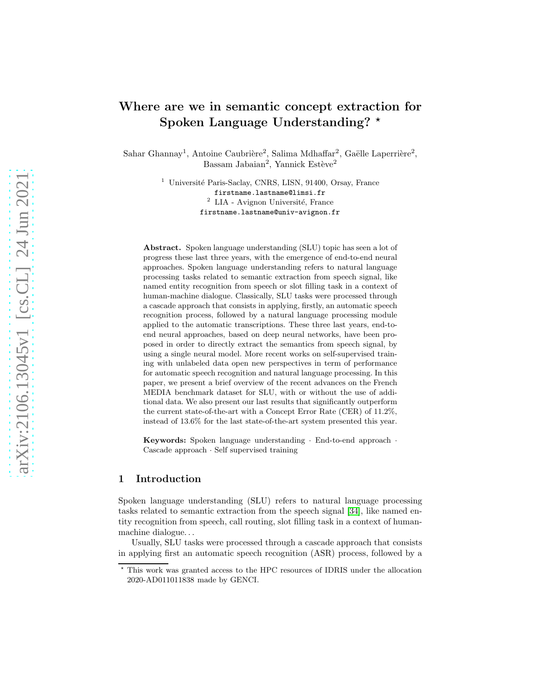# Where are we in semantic concept extraction for Spoken Language Understanding? \*

Sahar Ghannay<sup>1</sup>, Antoine Caubrière<sup>2</sup>, Salima Mdhaffar<sup>2</sup>, Gaëlle Laperrière<sup>2</sup>, Bassam Jabaian<sup>2</sup>, Yannick Estève<sup>2</sup>

> $^1\,$ Université Paris-Saclay, CNRS, LISN, 91400, Orsay, France firstname.lastname@limsi.fr  $^2\,$  LIA - Avignon Université, France firstname.lastname@univ-avignon.fr

Abstract. Spoken language understanding (SLU) topic has seen a lot of progress these last three years, with the emergence of end-to-end neural approaches. Spoken language understanding refers to natural language processing tasks related to semantic extraction from speech signal, like named entity recognition from speech or slot filling task in a context of human-machine dialogue. Classically, SLU tasks were processed through a cascade approach that consists in applying, firstly, an automatic speech recognition process, followed by a natural language processing module applied to the automatic transcriptions. These three last years, end-toend neural approaches, based on deep neural networks, have been proposed in order to directly extract the semantics from speech signal, by using a single neural model. More recent works on self-supervised training with unlabeled data open new perspectives in term of performance for automatic speech recognition and natural language processing. In this paper, we present a brief overview of the recent advances on the French MEDIA benchmark dataset for SLU, with or without the use of additional data. We also present our last results that significantly outperform the current state-of-the-art with a Concept Error Rate (CER) of 11.2%, instead of 13.6% for the last state-of-the-art system presented this year.

Keywords: Spoken language understanding · End-to-end approach · Cascade approach · Self supervised training

# 1 Introduction

Spoken language understanding (SLU) refers to natural language processing tasks related to semantic extraction from the speech signal [\[34\]](#page-11-0), like named entity recognition from speech, call routing, slot filling task in a context of humanmachine dialogue. . .

Usually, SLU tasks were processed through a cascade approach that consists in applying first an automatic speech recognition (ASR) process, followed by a

<sup>⋆</sup> This work was granted access to the HPC resources of IDRIS under the allocation 2020-AD011011838 made by GENCI.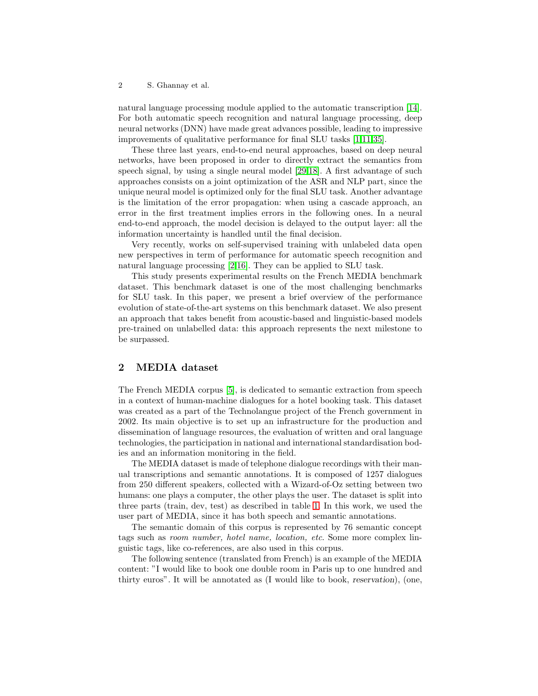2 S. Ghannay et al.

natural language processing module applied to the automatic transcription [\[14\]](#page-9-0). For both automatic speech recognition and natural language processing, deep neural networks (DNN) have made great advances possible, leading to impressive improvements of qualitative performance for final SLU tasks [\[1](#page-8-0)[,11](#page-9-1)[,35\]](#page-11-1).

These three last years, end-to-end neural approaches, based on deep neural networks, have been proposed in order to directly extract the semantics from speech signal, by using a single neural model [\[29,](#page-10-0)[18\]](#page-9-2). A first advantage of such approaches consists on a joint optimization of the ASR and NLP part, since the unique neural model is optimized only for the final SLU task. Another advantage is the limitation of the error propagation: when using a cascade approach, an error in the first treatment implies errors in the following ones. In a neural end-to-end approach, the model decision is delayed to the output layer: all the information uncertainty is handled until the final decision.

Very recently, works on self-supervised training with unlabeled data open new perspectives in term of performance for automatic speech recognition and natural language processing [\[2,](#page-8-1)[16\]](#page-9-3). They can be applied to SLU task.

This study presents experimental results on the French MEDIA benchmark dataset. This benchmark dataset is one of the most challenging benchmarks for SLU task. In this paper, we present a brief overview of the performance evolution of state-of-the-art systems on this benchmark dataset. We also present an approach that takes benefit from acoustic-based and linguistic-based models pre-trained on unlabelled data: this approach represents the next milestone to be surpassed.

# <span id="page-1-0"></span>2 MEDIA dataset

The French MEDIA corpus [\[5\]](#page-8-2), is dedicated to semantic extraction from speech in a context of human-machine dialogues for a hotel booking task. This dataset was created as a part of the Technolangue project of the French government in 2002. Its main objective is to set up an infrastructure for the production and dissemination of language resources, the evaluation of written and oral language technologies, the participation in national and international standardisation bodies and an information monitoring in the field.

The MEDIA dataset is made of telephone dialogue recordings with their manual transcriptions and semantic annotations. It is composed of 1257 dialogues from 250 different speakers, collected with a Wizard-of-Oz setting between two humans: one plays a computer, the other plays the user. The dataset is split into three parts (train, dev, test) as described in table [1.](#page-2-0) In this work, we used the user part of MEDIA, since it has both speech and semantic annotations.

The semantic domain of this corpus is represented by 76 semantic concept tags such as room number, hotel name, location, etc. Some more complex linguistic tags, like co-references, are also used in this corpus.

The following sentence (translated from French) is an example of the MEDIA content: "I would like to book one double room in Paris up to one hundred and thirty euros". It will be annotated as (I would like to book, reservation), (one,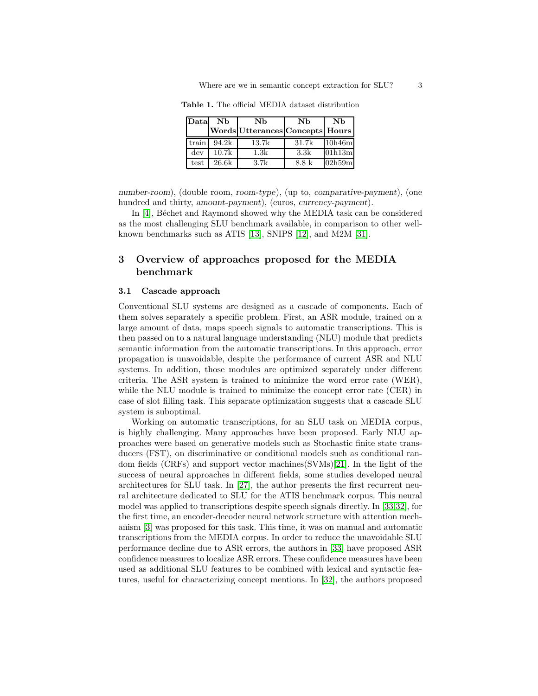<span id="page-2-0"></span>

| Datal                | Nb    | Nh                              | Nh    | Nh                  |  |
|----------------------|-------|---------------------------------|-------|---------------------|--|
|                      |       | Words Utterances Concepts Hours |       |                     |  |
| train                | 94.2k | 13.7k                           | 31.7k | 10h46m              |  |
| $\frac{1}{\sqrt{2}}$ | 10.7k | 1.3k                            | 3.3k  | 01h13m              |  |
| test                 | 26.6k | 3.7k                            | 8.8 k | $\overline{02h59m}$ |  |

Table 1. The official MEDIA dataset distribution

number-room), (double room, room-type), (up to, comparative-payment), (one hundred and thirty, amount-payment), (euros, currency-payment).

In [\[4\]](#page-8-3), Béchet and Raymond showed why the MEDIA task can be considered as the most challenging SLU benchmark available, in comparison to other wellknown benchmarks such as ATIS [\[13\]](#page-9-4), SNIPS [\[12\]](#page-9-5), and M2M [\[31\]](#page-11-2).

# 3 Overview of approaches proposed for the MEDIA benchmark

#### 3.1 Cascade approach

Conventional SLU systems are designed as a cascade of components. Each of them solves separately a specific problem. First, an ASR module, trained on a large amount of data, maps speech signals to automatic transcriptions. This is then passed on to a natural language understanding (NLU) module that predicts semantic information from the automatic transcriptions. In this approach, error propagation is unavoidable, despite the performance of current ASR and NLU systems. In addition, those modules are optimized separately under different criteria. The ASR system is trained to minimize the word error rate (WER), while the NLU module is trained to minimize the concept error rate (CER) in case of slot filling task. This separate optimization suggests that a cascade SLU system is suboptimal.

Working on automatic transcriptions, for an SLU task on MEDIA corpus, is highly challenging. Many approaches have been proposed. Early NLU approaches were based on generative models such as Stochastic finite state transducers (FST), on discriminative or conditional models such as conditional random fields (CRFs) and support vector machines(SVMs)[\[21\]](#page-10-1). In the light of the success of neural approaches in different fields, some studies developed neural architectures for SLU task. In [\[27\]](#page-10-2), the author presents the first recurrent neural architecture dedicated to SLU for the ATIS benchmark corpus. This neural model was applied to transcriptions despite speech signals directly. In [\[33,](#page-11-3)[32\]](#page-11-4), for the first time, an encoder-decoder neural network structure with attention mechanism [\[3\]](#page-8-4) was proposed for this task. This time, it was on manual and automatic transcriptions from the MEDIA corpus. In order to reduce the unavoidable SLU performance decline due to ASR errors, the authors in [\[33\]](#page-11-3) have proposed ASR confidence measures to localize ASR errors. These confidence measures have been used as additional SLU features to be combined with lexical and syntactic features, useful for characterizing concept mentions. In [\[32\]](#page-11-4), the authors proposed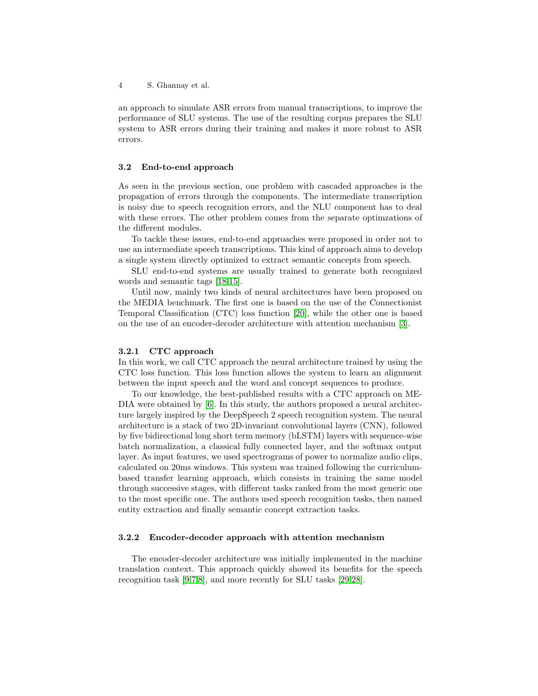4 S. Ghannay et al.

an approach to simulate ASR errors from manual transcriptions, to improve the performance of SLU systems. The use of the resulting corpus prepares the SLU system to ASR errors during their training and makes it more robust to ASR errors.

#### 3.2 End-to-end approach

As seen in the previous section, one problem with cascaded approaches is the propagation of errors through the components. The intermediate transcription is noisy due to speech recognition errors, and the NLU component has to deal with these errors. The other problem comes from the separate optimzations of the different modules.

To tackle these issues, end-to-end approaches were proposed in order not to use an intermediate speech transcriptions. This kind of approach aims to develop a single system directly optimized to extract semantic concepts from speech.

SLU end-to-end systems are usually trained to generate both recognized words and semantic tags [\[18,](#page-9-2)[15\]](#page-9-6).

Until now, mainly two kinds of neural architectures have been proposed on the MEDIA benchmark. The first one is based on the use of the Connectionist Temporal Classification (CTC) loss function [\[20\]](#page-10-3), while the other one is based on the use of an encoder-decoder architecture with attention mechanism [\[3\]](#page-8-4).

#### <span id="page-3-0"></span>3.2.1 CTC approach

In this work, we call CTC approach the neural architecture trained by using the CTC loss function. This loss function allows the system to learn an alignment between the input speech and the word and concept sequences to produce.

To our knowledge, the best-published results with a CTC approach on ME-DIA were obtained by [\[6\]](#page-8-5). In this study, the authors proposed a neural architecture largely inspired by the DeepSpeech 2 speech recognition system. The neural architecture is a stack of two 2D-invariant convolutional layers (CNN), followed by five bidirectional long short term memory (bLSTM) layers with sequence-wise batch normalization, a classical fully connected layer, and the softmax output layer. As input features, we used spectrograms of power to normalize audio clips, calculated on 20ms windows. This system was trained following the curriculumbased transfer learning approach, which consists in training the same model through successive stages, with different tasks ranked from the most generic one to the most specific one. The authors used speech recognition tasks, then named entity extraction and finally semantic concept extraction tasks.

#### 3.2.2 Encoder-decoder approach with attention mechanism

The encoder-decoder architecture was initially implemented in the machine translation context. This approach quickly showed its benefits for the speech recognition task [\[9](#page-9-7)[,7,](#page-9-8)[8\]](#page-9-9), and more recently for SLU tasks [\[29,](#page-10-0)[28\]](#page-10-4).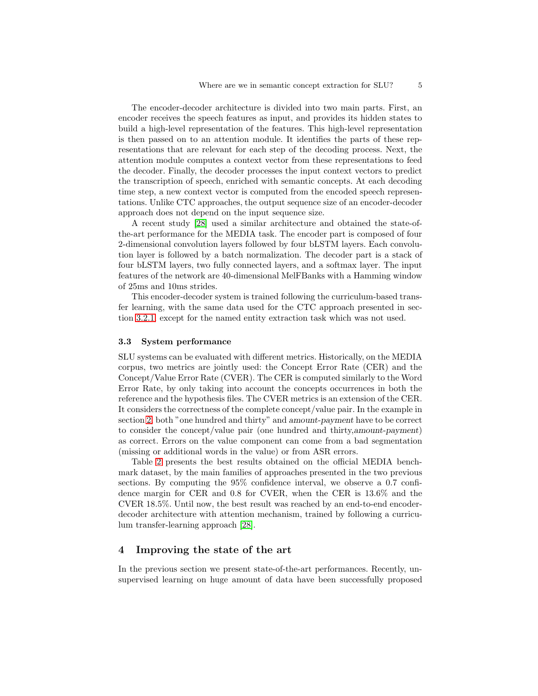The encoder-decoder architecture is divided into two main parts. First, an encoder receives the speech features as input, and provides its hidden states to build a high-level representation of the features. This high-level representation is then passed on to an attention module. It identifies the parts of these representations that are relevant for each step of the decoding process. Next, the attention module computes a context vector from these representations to feed the decoder. Finally, the decoder processes the input context vectors to predict the transcription of speech, enriched with semantic concepts. At each decoding time step, a new context vector is computed from the encoded speech representations. Unlike CTC approaches, the output sequence size of an encoder-decoder approach does not depend on the input sequence size.

A recent study [\[28\]](#page-10-4) used a similar architecture and obtained the state-ofthe-art performance for the MEDIA task. The encoder part is composed of four 2-dimensional convolution layers followed by four bLSTM layers. Each convolution layer is followed by a batch normalization. The decoder part is a stack of four bLSTM layers, two fully connected layers, and a softmax layer. The input features of the network are 40-dimensional MelFBanks with a Hamming window of 25ms and 10ms strides.

This encoder-decoder system is trained following the curriculum-based transfer learning, with the same data used for the CTC approach presented in section [3.2.1,](#page-3-0) except for the named entity extraction task which was not used.

#### <span id="page-4-0"></span>3.3 System performance

SLU systems can be evaluated with different metrics. Historically, on the MEDIA corpus, two metrics are jointly used: the Concept Error Rate (CER) and the Concept/Value Error Rate (CVER). The CER is computed similarly to the Word Error Rate, by only taking into account the concepts occurrences in both the reference and the hypothesis files. The CVER metrics is an extension of the CER. It considers the correctness of the complete concept/value pair. In the example in section [2,](#page-1-0) both "one hundred and thirty" and amount-payment have to be correct to consider the concept/value pair (one hundred and thirty,amount-payment) as correct. Errors on the value component can come from a bad segmentation (missing or additional words in the value) or from ASR errors.

Table [2](#page-5-0) presents the best results obtained on the official MEDIA benchmark dataset, by the main families of approaches presented in the two previous sections. By computing the 95% confidence interval, we observe a 0.7 confidence margin for CER and 0.8 for CVER, when the CER is 13.6% and the CVER 18.5%. Until now, the best result was reached by an end-to-end encoderdecoder architecture with attention mechanism, trained by following a curriculum transfer-learning approach [\[28\]](#page-10-4).

# 4 Improving the state of the art

In the previous section we present state-of-the-art performances. Recently, unsupervised learning on huge amount of data have been successfully proposed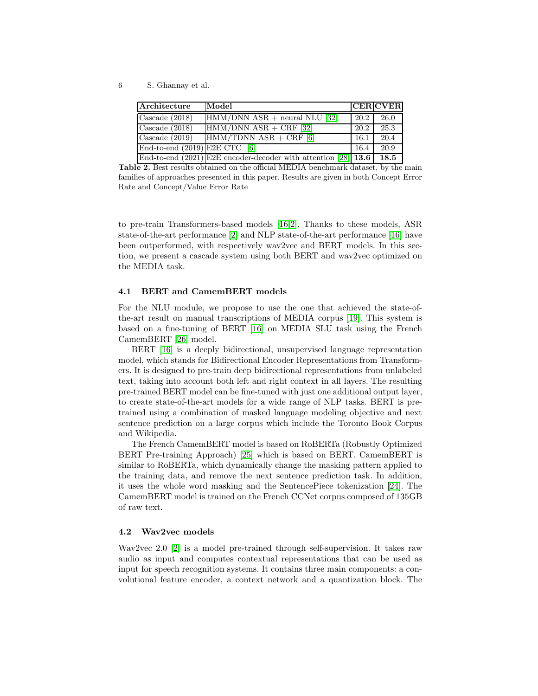6 S. Ghannay et al.

| Architecture                       | Model                                                            |      | <b>CERCVER</b> |
|------------------------------------|------------------------------------------------------------------|------|----------------|
| $\overline{\text{Cascade} (2018)}$ | $ HMM/DNN ASR + neural NLU [32]$                                 | 20.2 | 26.0           |
| $\overline{\text{Cascade}}$ (2018) | $HMM/DNN ASR + CRF [32]$                                         | 20.2 | 25.3           |
| $\overline{\text{Cascade}}$ (2019) | $HMM/TDNN ASR + CRF [6]$                                         | 16.1 | 20.4           |
| End-to-end $(2019)$ E2E CTC [6]    |                                                                  | 16.4 | 20.9           |
|                                    | End-to-end $(2021)$ E2E encoder-decoder with attention [28] 13.6 |      | 18.5           |

<span id="page-5-0"></span>Table 2. Best results obtained on the official MEDIA benchmark dataset, by the main families of approaches presented in this paper. Results are given in both Concept Error Rate and Concept/Value Error Rate

to pre-train Transformers-based models [\[16,](#page-9-3)[2\]](#page-8-1). Thanks to these models, ASR state-of-the-art performance [\[2\]](#page-8-1) and NLP state-of-the-art performance [\[16\]](#page-9-3) have been outperformed, with respectively wav2vec and BERT models. In this section, we present a cascade system using both BERT and wav2vec optimized on the MEDIA task.

# 4.1 BERT and CamemBERT models

For the NLU module, we propose to use the one that achieved the state-ofthe-art result on manual transcriptions of MEDIA corpus [\[19\]](#page-9-10). This system is based on a fine-tuning of BERT [\[16\]](#page-9-3) on MEDIA SLU task using the French CamemBERT [\[26\]](#page-10-5) model.

BERT [\[16\]](#page-9-3) is a deeply bidirectional, unsupervised language representation model, which stands for Bidirectional Encoder Representations from Transformers. It is designed to pre-train deep bidirectional representations from unlabeled text, taking into account both left and right context in all layers. The resulting pre-trained BERT model can be fine-tuned with just one additional output layer, to create state-of-the-art models for a wide range of NLP tasks. BERT is pretrained using a combination of masked language modeling objective and next sentence prediction on a large corpus which include the Toronto Book Corpus and Wikipedia.

The French CamemBERT model is based on RoBERTa (Robustly Optimized BERT Pre-training Approach) [\[25\]](#page-10-6) which is based on BERT. CamemBERT is similar to RoBERTa, which dynamically change the masking pattern applied to the training data, and remove the next sentence prediction task. In addition, it uses the whole word masking and the SentencePiece tokenization [\[24\]](#page-10-7). The CamemBERT model is trained on the French CCNet corpus composed of 135GB of raw text.

### 4.2 Wav2vec models

Wav2vec 2.0 [\[2\]](#page-8-1) is a model pre-trained through self-supervision. It takes raw audio as input and computes contextual representations that can be used as input for speech recognition systems. It contains three main components: a convolutional feature encoder, a context network and a quantization block. The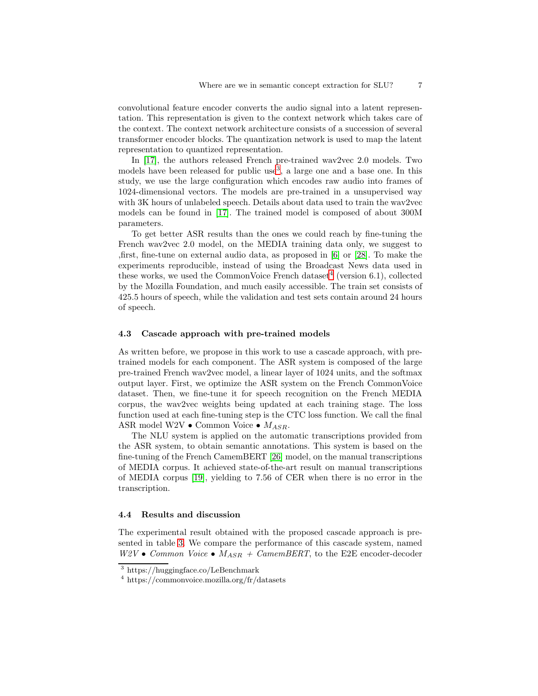convolutional feature encoder converts the audio signal into a latent representation. This representation is given to the context network which takes care of the context. The context network architecture consists of a succession of several transformer encoder blocks. The quantization network is used to map the latent representation to quantized representation.

In [\[17\]](#page-9-11), the authors released French pre-trained wav2vec 2.0 models. Two models have been released for public use<sup>[3](#page-6-0)</sup>, a large one and a base one. In this study, we use the large configuration which encodes raw audio into frames of 1024-dimensional vectors. The models are pre-trained in a unsupervised way with 3K hours of unlabeled speech. Details about data used to train the wav2vec models can be found in [\[17\]](#page-9-11). The trained model is composed of about 300M parameters.

To get better ASR results than the ones we could reach by fine-tuning the French wav2vec 2.0 model, on the MEDIA training data only, we suggest to ,first, fine-tune on external audio data, as proposed in [\[6\]](#page-8-5) or [\[28\]](#page-10-4). To make the experiments reproducible, instead of using the Broadcast News data used in these works, we used the CommonVoice French dataset<sup>[4](#page-6-1)</sup> (version 6.1), collected by the Mozilla Foundation, and much easily accessible. The train set consists of 425.5 hours of speech, while the validation and test sets contain around 24 hours of speech.

#### 4.3 Cascade approach with pre-trained models

As written before, we propose in this work to use a cascade approach, with pretrained models for each component. The ASR system is composed of the large pre-trained French wav2vec model, a linear layer of 1024 units, and the softmax output layer. First, we optimize the ASR system on the French CommonVoice dataset. Then, we fine-tune it for speech recognition on the French MEDIA corpus, the wav2vec weights being updated at each training stage. The loss function used at each fine-tuning step is the CTC loss function. We call the final ASR model W2V  $\bullet$  Common Voice  $\bullet$   $M_{ASR}$ .

The NLU system is applied on the automatic transcriptions provided from the ASR system, to obtain semantic annotations. This system is based on the fine-tuning of the French CamemBERT [\[26\]](#page-10-5) model, on the manual transcriptions of MEDIA corpus. It achieved state-of-the-art result on manual transcriptions of MEDIA corpus [\[19\]](#page-9-10), yielding to 7.56 of CER when there is no error in the transcription.

#### 4.4 Results and discussion

The experimental result obtained with the proposed cascade approach is presented in table [3.](#page-8-6) We compare the performance of this cascade system, named  $W2V \bullet$  Common Voice  $\bullet$   $M_{ASR} + CamemBERT$ , to the E2E encoder-decoder

<sup>3</sup> https://huggingface.co/LeBenchmark

<span id="page-6-1"></span><span id="page-6-0"></span><sup>4</sup> https://commonvoice.mozilla.org/fr/datasets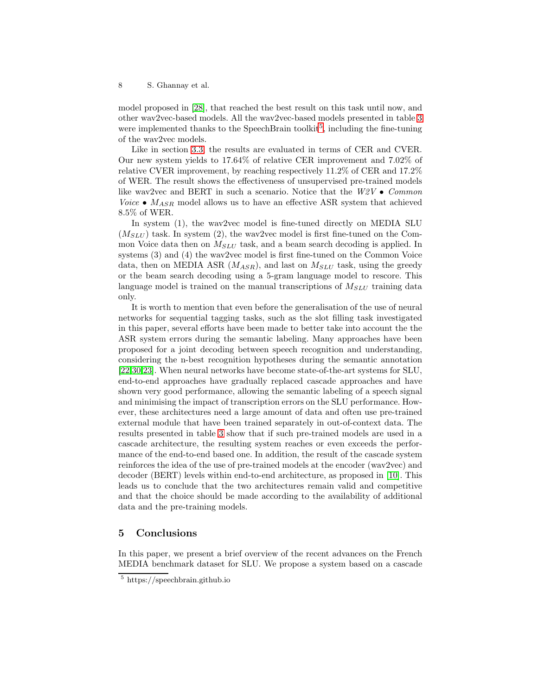model proposed in [\[28\]](#page-10-4), that reached the best result on this task until now, and other wav2vec-based models. All the wav2vec-based models presented in table [3](#page-8-6) were implemented thanks to the SpeechBrain toolkit<sup>[5](#page-7-0)</sup>, including the fine-tuning of the wav2vec models.

Like in section [3.3,](#page-4-0) the results are evaluated in terms of CER and CVER. Our new system yields to 17.64% of relative CER improvement and 7.02% of relative CVER improvement, by reaching respectively 11.2% of CER and 17.2% of WER. The result shows the effectiveness of unsupervised pre-trained models like wav2vec and BERT in such a scenario. Notice that the  $W2V \bullet \textit{Common}$ Voice  $\bullet$   $M_{ASR}$  model allows us to have an effective ASR system that achieved 8.5% of WER.

In system (1), the wav2vec model is fine-tuned directly on MEDIA SLU  $(M_{SLU})$  task. In system (2), the wav2vec model is first fine-tuned on the Common Voice data then on  $M_{SLU}$  task, and a beam search decoding is applied. In systems (3) and (4) the wav2vec model is first fine-tuned on the Common Voice data, then on MEDIA ASR  $(M_{ASR})$ , and last on  $M_{SLU}$  task, using the greedy or the beam search decoding using a 5-gram language model to rescore. This language model is trained on the manual transcriptions of  $M_{SLU}$  training data only.

It is worth to mention that even before the generalisation of the use of neural networks for sequential tagging tasks, such as the slot filling task investigated in this paper, several efforts have been made to better take into account the the ASR system errors during the semantic labeling. Many approaches have been proposed for a joint decoding between speech recognition and understanding, considering the n-best recognition hypotheses during the semantic annotation [\[22](#page-10-8)[,30](#page-10-9)[,23\]](#page-10-10). When neural networks have become state-of-the-art systems for SLU, end-to-end approaches have gradually replaced cascade approaches and have shown very good performance, allowing the semantic labeling of a speech signal and minimising the impact of transcription errors on the SLU performance. However, these architectures need a large amount of data and often use pre-trained external module that have been trained separately in out-of-context data. The results presented in table [3](#page-8-6) show that if such pre-trained models are used in a cascade architecture, the resulting system reaches or even exceeds the performance of the end-to-end based one. In addition, the result of the cascade system reinforces the idea of the use of pre-trained models at the encoder (wav2vec) and decoder (BERT) levels within end-to-end architecture, as proposed in [\[10\]](#page-9-12). This leads us to conclude that the two architectures remain valid and competitive and that the choice should be made according to the availability of additional data and the pre-training models.

# 5 Conclusions

In this paper, we present a brief overview of the recent advances on the French MEDIA benchmark dataset for SLU. We propose a system based on a cascade

<span id="page-7-0"></span><sup>5</sup> https://speechbrain.github.io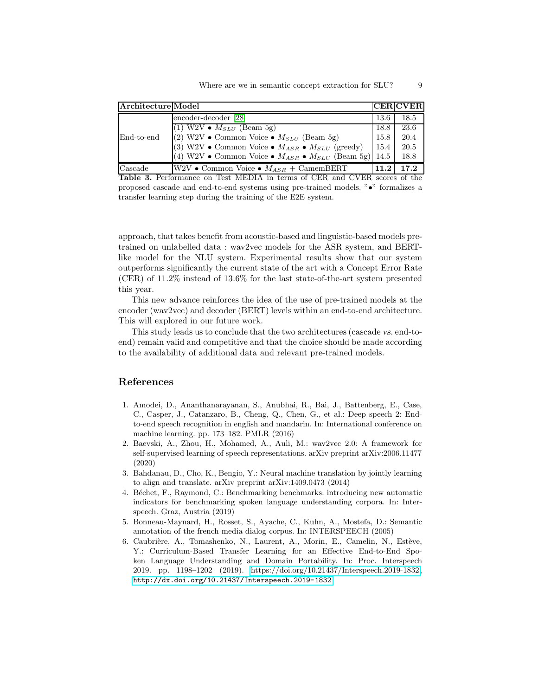| Architecture Model |                                                                       |      | <b>CERICVER</b> |
|--------------------|-----------------------------------------------------------------------|------|-----------------|
|                    | encoder-decoder [28]                                                  | 13.6 | 18.5            |
|                    | $(1)$ W2V $\bullet$ $M_{SLU}$ (Beam 5g)                               | 18.8 | 23.6            |
| End-to-end         | (2) W2V • Common Voice • $M_{SLU}$ (Beam 5g)                          | 15.8 | 20.4            |
|                    | (3) W2V • Common Voice • $M_{ASR}$ • $M_{SLU}$ (greedy)               | 15.4 | 20.5            |
|                    | (4) W2V • Common Voice • $M_{ASR}$ • $M_{SLU}$ (Beam 5g) 14.5         |      | 18.8            |
| Cascade            | $ W2V \bullet \text{Common Voice} \bullet M_{ASR} + \text{CamemBERT}$ |      | 17.2            |

<span id="page-8-6"></span>Table 3. Performance on Test MEDIA in terms of CER and CVER scores of the proposed cascade and end-to-end systems using pre-trained models. "•" formalizes a transfer learning step during the training of the E2E system.

approach, that takes benefit from acoustic-based and linguistic-based models pretrained on unlabelled data : wav2vec models for the ASR system, and BERTlike model for the NLU system. Experimental results show that our system outperforms significantly the current state of the art with a Concept Error Rate (CER) of 11.2% instead of 13.6% for the last state-of-the-art system presented this year.

This new advance reinforces the idea of the use of pre-trained models at the encoder (wav2vec) and decoder (BERT) levels within an end-to-end architecture. This will explored in our future work.

This study leads us to conclude that the two architectures (cascade vs. end-toend) remain valid and competitive and that the choice should be made according to the availability of additional data and relevant pre-trained models.

# References

- <span id="page-8-0"></span>1. Amodei, D., Ananthanarayanan, S., Anubhai, R., Bai, J., Battenberg, E., Case, C., Casper, J., Catanzaro, B., Cheng, Q., Chen, G., et al.: Deep speech 2: Endto-end speech recognition in english and mandarin. In: International conference on machine learning. pp. 173–182. PMLR (2016)
- <span id="page-8-1"></span>2. Baevski, A., Zhou, H., Mohamed, A., Auli, M.: wav2vec 2.0: A framework for self-supervised learning of speech representations. arXiv preprint arXiv:2006.11477 (2020)
- <span id="page-8-4"></span>3. Bahdanau, D., Cho, K., Bengio, Y.: Neural machine translation by jointly learning to align and translate. arXiv preprint arXiv:1409.0473 (2014)
- <span id="page-8-3"></span>4. Béchet, F., Raymond, C.: Benchmarking benchmarks: introducing new automatic indicators for benchmarking spoken language understanding corpora. In: Interspeech. Graz, Austria (2019)
- <span id="page-8-2"></span>5. Bonneau-Maynard, H., Rosset, S., Ayache, C., Kuhn, A., Mostefa, D.: Semantic annotation of the french media dialog corpus. In: INTERSPEECH (2005)
- <span id="page-8-5"></span>6. Caubrière, A., Tomashenko, N., Laurent, A., Morin, E., Camelin, N., Estève, Y.: Curriculum-Based Transfer Learning for an Effective End-to-End Spoken Language Understanding and Domain Portability. In: Proc. Interspeech 2019. pp. 1198–1202 (2019). [https://doi.org/10.21437/Interspeech.2019-1832,](https://doi.org/10.21437/Interspeech.2019-1832) <http://dx.doi.org/10.21437/Interspeech.2019-1832>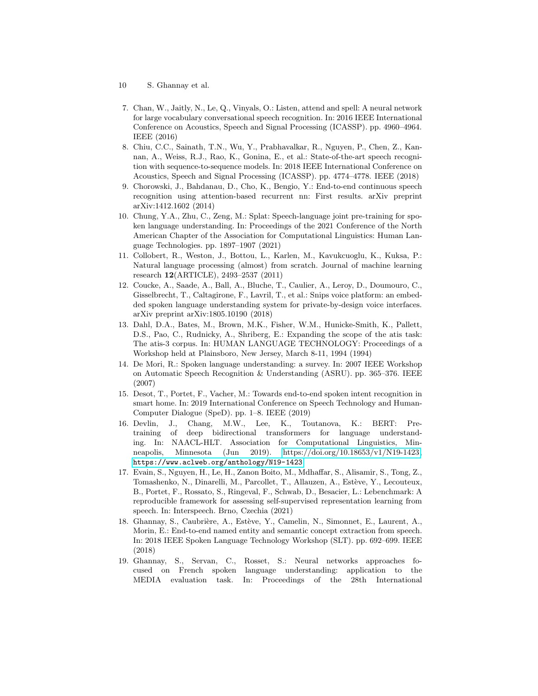- 10 S. Ghannay et al.
- <span id="page-9-8"></span>7. Chan, W., Jaitly, N., Le, Q., Vinyals, O.: Listen, attend and spell: A neural network for large vocabulary conversational speech recognition. In: 2016 IEEE International Conference on Acoustics, Speech and Signal Processing (ICASSP). pp. 4960–4964. IEEE (2016)
- <span id="page-9-9"></span>8. Chiu, C.C., Sainath, T.N., Wu, Y., Prabhavalkar, R., Nguyen, P., Chen, Z., Kannan, A., Weiss, R.J., Rao, K., Gonina, E., et al.: State-of-the-art speech recognition with sequence-to-sequence models. In: 2018 IEEE International Conference on Acoustics, Speech and Signal Processing (ICASSP). pp. 4774–4778. IEEE (2018)
- <span id="page-9-7"></span>9. Chorowski, J., Bahdanau, D., Cho, K., Bengio, Y.: End-to-end continuous speech recognition using attention-based recurrent nn: First results. arXiv preprint arXiv:1412.1602 (2014)
- <span id="page-9-12"></span>10. Chung, Y.A., Zhu, C., Zeng, M.: Splat: Speech-language joint pre-training for spoken language understanding. In: Proceedings of the 2021 Conference of the North American Chapter of the Association for Computational Linguistics: Human Language Technologies. pp. 1897–1907 (2021)
- <span id="page-9-1"></span>11. Collobert, R., Weston, J., Bottou, L., Karlen, M., Kavukcuoglu, K., Kuksa, P.: Natural language processing (almost) from scratch. Journal of machine learning research 12(ARTICLE), 2493–2537 (2011)
- <span id="page-9-5"></span>12. Coucke, A., Saade, A., Ball, A., Bluche, T., Caulier, A., Leroy, D., Doumouro, C., Gisselbrecht, T., Caltagirone, F., Lavril, T., et al.: Snips voice platform: an embedded spoken language understanding system for private-by-design voice interfaces. arXiv preprint arXiv:1805.10190 (2018)
- <span id="page-9-4"></span>13. Dahl, D.A., Bates, M., Brown, M.K., Fisher, W.M., Hunicke-Smith, K., Pallett, D.S., Pao, C., Rudnicky, A., Shriberg, E.: Expanding the scope of the atis task: The atis-3 corpus. In: HUMAN LANGUAGE TECHNOLOGY: Proceedings of a Workshop held at Plainsboro, New Jersey, March 8-11, 1994 (1994)
- <span id="page-9-0"></span>14. De Mori, R.: Spoken language understanding: a survey. In: 2007 IEEE Workshop on Automatic Speech Recognition & Understanding (ASRU). pp. 365–376. IEEE (2007)
- <span id="page-9-6"></span>15. Desot, T., Portet, F., Vacher, M.: Towards end-to-end spoken intent recognition in smart home. In: 2019 International Conference on Speech Technology and Human-Computer Dialogue (SpeD). pp. 1–8. IEEE (2019)
- <span id="page-9-3"></span>16. Devlin, J., Chang, M.W., Lee, K., Toutanova, K.: BERT: Pretraining of deep bidirectional transformers for language understanding. In: NAACL-HLT. Association for Computational Linguistics, Minneapolis, Minnesota (Jun 2019). [https://doi.org/10.18653/v1/N19-1423,](https://doi.org/10.18653/v1/N19-1423) <https://www.aclweb.org/anthology/N19-1423>
- <span id="page-9-11"></span>17. Evain, S., Nguyen, H., Le, H., Zanon Boito, M., Mdhaffar, S., Alisamir, S., Tong, Z., Tomashenko, N., Dinarelli, M., Parcollet, T., Allauzen, A., Estève, Y., Lecouteux, B., Portet, F., Rossato, S., Ringeval, F., Schwab, D., Besacier, L.: Lebenchmark: A reproducible framework for assessing self-supervised representation learning from speech. In: Interspeech. Brno, Czechia (2021)
- <span id="page-9-2"></span>18. Ghannay, S., Caubrière, A., Estève, Y., Camelin, N., Simonnet, E., Laurent, A., Morin, E.: End-to-end named entity and semantic concept extraction from speech. In: 2018 IEEE Spoken Language Technology Workshop (SLT). pp. 692–699. IEEE (2018)
- <span id="page-9-10"></span>19. Ghannay, S., Servan, C., Rosset, S.: Neural networks approaches focused on French spoken language understanding: application to the MEDIA evaluation task. In: Proceedings of the 28th International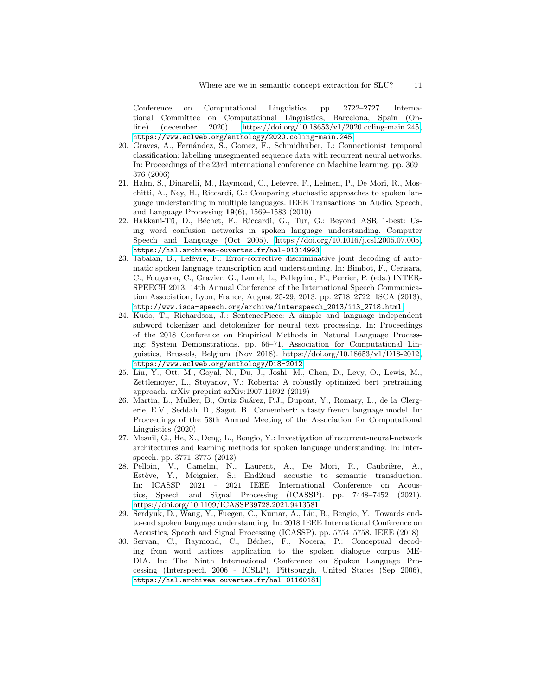Conference on Computational Linguistics. pp. 2722–2727. International Committee on Computational Linguistics, Barcelona, Spain (Online) (december 2020). [https://doi.org/10.18653/v1/2020.coling-main.245,](https://doi.org/10.18653/v1/2020.coling-main.245) <https://www.aclweb.org/anthology/2020.coling-main.245>

- <span id="page-10-3"></span>20. Graves, A., Fern´andez, S., Gomez, F., Schmidhuber, J.: Connectionist temporal classification: labelling unsegmented sequence data with recurrent neural networks. In: Proceedings of the 23rd international conference on Machine learning. pp. 369– 376 (2006)
- <span id="page-10-1"></span>21. Hahn, S., Dinarelli, M., Raymond, C., Lefevre, F., Lehnen, P., De Mori, R., Moschitti, A., Ney, H., Riccardi, G.: Comparing stochastic approaches to spoken language understanding in multiple languages. IEEE Transactions on Audio, Speech, and Language Processing 19(6), 1569–1583 (2010)
- <span id="page-10-8"></span>22. Hakkani-Tü, D., Béchet, F., Riccardi, G., Tur, G.: Beyond ASR 1-best: Using word confusion networks in spoken language understanding. Computer Speech and Language (Oct 2005). [https://doi.org/10.1016/j.csl.2005.07.005,](https://doi.org/10.1016/j.csl.2005.07.005) <https://hal.archives-ouvertes.fr/hal-01314993>
- <span id="page-10-10"></span>23. Jabaian, B., Lefèvre, F.: Error-corrective discriminative joint decoding of automatic spoken language transcription and understanding. In: Bimbot, F., Cerisara, C., Fougeron, C., Gravier, G., Lamel, L., Pellegrino, F., Perrier, P. (eds.) INTER-SPEECH 2013, 14th Annual Conference of the International Speech Communication Association, Lyon, France, August 25-29, 2013. pp. 2718–2722. ISCA (2013), [http://www.isca-speech.org/archive/interspeech\\_2013/i13\\_2718.html](http://www.isca-speech.org/archive/interspeech_2013/i13_2718.html)
- <span id="page-10-7"></span>24. Kudo, T., Richardson, J.: SentencePiece: A simple and language independent subword tokenizer and detokenizer for neural text processing. In: Proceedings of the 2018 Conference on Empirical Methods in Natural Language Processing: System Demonstrations. pp. 66–71. Association for Computational Linguistics, Brussels, Belgium (Nov 2018). [https://doi.org/10.18653/v1/D18-2012,](https://doi.org/10.18653/v1/D18-2012) <https://www.aclweb.org/anthology/D18-2012>
- <span id="page-10-6"></span>25. Liu, Y., Ott, M., Goyal, N., Du, J., Joshi, M., Chen, D., Levy, O., Lewis, M., Zettlemoyer, L., Stoyanov, V.: Roberta: A robustly optimized bert pretraining approach. arXiv preprint arXiv:1907.11692 (2019)
- <span id="page-10-5"></span>26. Martin, L., Muller, B., Ortiz Suárez, P.J., Dupont, Y., Romary, L., de la Clergerie, É.V., Seddah, D., Sagot, B.: Camembert: a tasty french language model. In: Proceedings of the 58th Annual Meeting of the Association for Computational Linguistics (2020)
- <span id="page-10-2"></span>27. Mesnil, G., He, X., Deng, L., Bengio, Y.: Investigation of recurrent-neural-network architectures and learning methods for spoken language understanding. In: Interspeech. pp. 3771–3775 (2013)
- <span id="page-10-4"></span>28. Pelloin, V., Camelin, N., Laurent, A., De Mori, R., Caubrière, A., Estève, Y., Meignier, S.: End2end acoustic to semantic transduction. In: ICASSP 2021 - 2021 IEEE International Conference on Acoustics, Speech and Signal Processing (ICASSP). pp. 7448–7452 (2021). <https://doi.org/10.1109/ICASSP39728.2021.9413581>
- <span id="page-10-0"></span>29. Serdyuk, D., Wang, Y., Fuegen, C., Kumar, A., Liu, B., Bengio, Y.: Towards endto-end spoken language understanding. In: 2018 IEEE International Conference on Acoustics, Speech and Signal Processing (ICASSP). pp. 5754–5758. IEEE (2018)
- <span id="page-10-9"></span>30. Servan, C., Raymond, C., Béchet, F., Nocera, P.: Conceptual decoding from word lattices: application to the spoken dialogue corpus ME-DIA. In: The Ninth International Conference on Spoken Language Processing (Interspeech 2006 - ICSLP). Pittsburgh, United States (Sep 2006), <https://hal.archives-ouvertes.fr/hal-01160181>